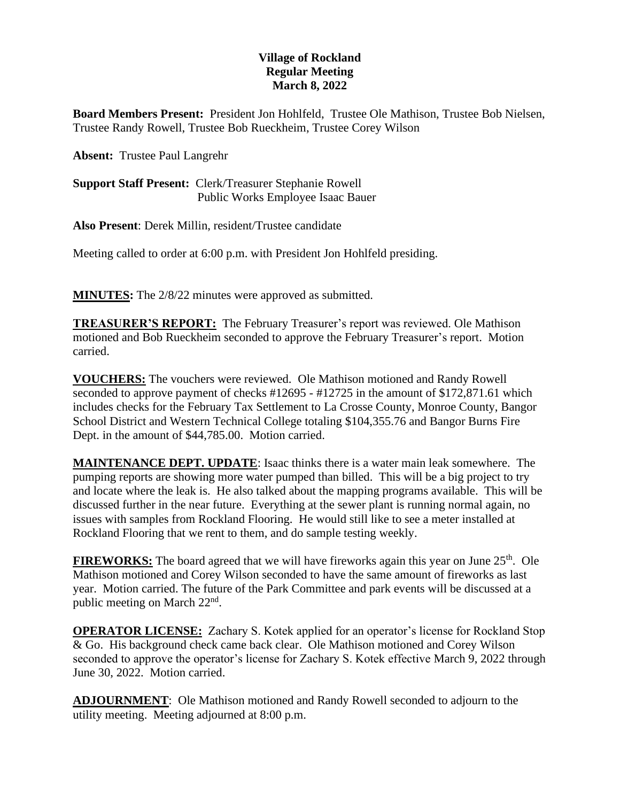## **Village of Rockland Regular Meeting March 8, 2022**

**Board Members Present:** President Jon Hohlfeld, Trustee Ole Mathison, Trustee Bob Nielsen, Trustee Randy Rowell, Trustee Bob Rueckheim, Trustee Corey Wilson

**Absent:** Trustee Paul Langrehr

**Support Staff Present:** Clerk/Treasurer Stephanie Rowell Public Works Employee Isaac Bauer

**Also Present**: Derek Millin, resident/Trustee candidate

Meeting called to order at 6:00 p.m. with President Jon Hohlfeld presiding.

**MINUTES:** The 2/8/22 minutes were approved as submitted.

**TREASURER'S REPORT:** The February Treasurer's report was reviewed. Ole Mathison motioned and Bob Rueckheim seconded to approve the February Treasurer's report. Motion carried.

**VOUCHERS:** The vouchers were reviewed. Ole Mathison motioned and Randy Rowell seconded to approve payment of checks #12695 - #12725 in the amount of \$172,871.61 which includes checks for the February Tax Settlement to La Crosse County, Monroe County, Bangor School District and Western Technical College totaling \$104,355.76 and Bangor Burns Fire Dept. in the amount of \$44,785.00. Motion carried.

**MAINTENANCE DEPT. UPDATE**: Isaac thinks there is a water main leak somewhere. The pumping reports are showing more water pumped than billed. This will be a big project to try and locate where the leak is. He also talked about the mapping programs available. This will be discussed further in the near future. Everything at the sewer plant is running normal again, no issues with samples from Rockland Flooring. He would still like to see a meter installed at Rockland Flooring that we rent to them, and do sample testing weekly.

**FIREWORKS:** The board agreed that we will have fireworks again this year on June 25<sup>th</sup>. Ole Mathison motioned and Corey Wilson seconded to have the same amount of fireworks as last year. Motion carried. The future of the Park Committee and park events will be discussed at a public meeting on March 22<sup>nd</sup>.

**OPERATOR LICENSE:** Zachary S. Kotek applied for an operator's license for Rockland Stop & Go. His background check came back clear. Ole Mathison motioned and Corey Wilson seconded to approve the operator's license for Zachary S. Kotek effective March 9, 2022 through June 30, 2022. Motion carried.

**ADJOURNMENT**: Ole Mathison motioned and Randy Rowell seconded to adjourn to the utility meeting. Meeting adjourned at 8:00 p.m.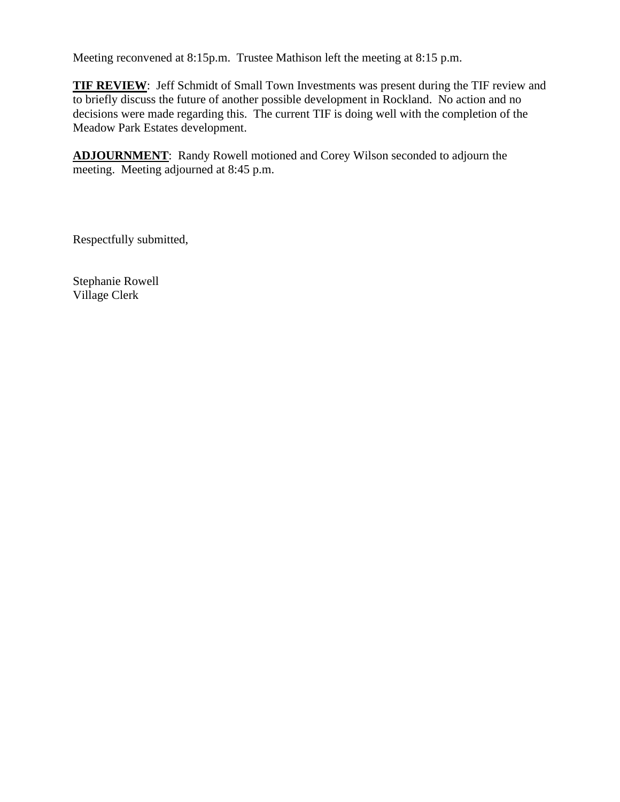Meeting reconvened at 8:15p.m. Trustee Mathison left the meeting at 8:15 p.m.

**TIF REVIEW**: Jeff Schmidt of Small Town Investments was present during the TIF review and to briefly discuss the future of another possible development in Rockland. No action and no decisions were made regarding this. The current TIF is doing well with the completion of the Meadow Park Estates development.

**ADJOURNMENT**: Randy Rowell motioned and Corey Wilson seconded to adjourn the meeting. Meeting adjourned at 8:45 p.m.

Respectfully submitted,

Stephanie Rowell Village Clerk